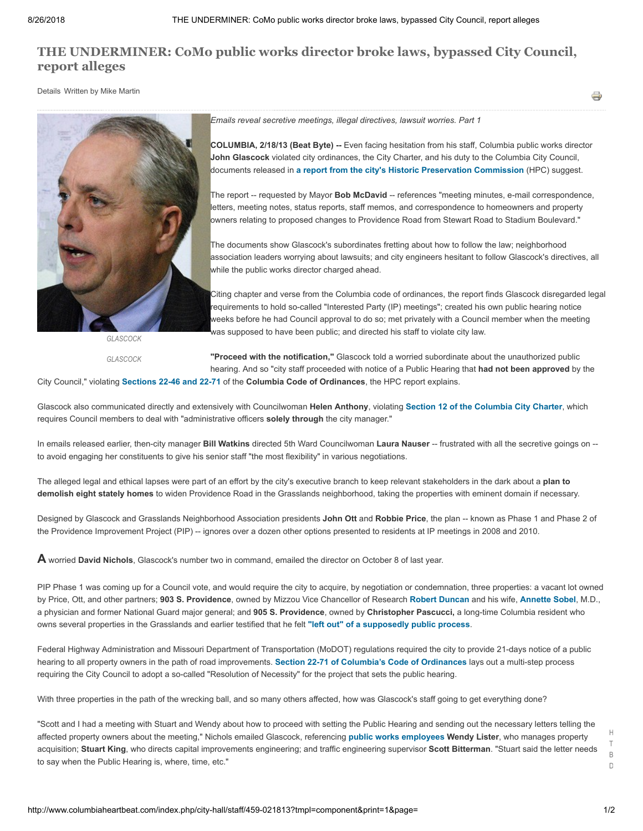# **[THE UNDERMINER: CoMo public works director broke laws, bypassed City Council,](http://www.columbiaheartbeat.com/index.php/city-hall/staff/459-021813) report alleges**

Details Written by Mike Martin



*GLASCOCK*

*GLASCOCK*

*Emails reveal secretive meetings, illegal directives, lawsuit worries. Part 1*

**COLUMBIA, 2/18/13 (Beat Byte) --** Even facing hesitation from his staff, Columbia public works director **John Glascock** violated city ordinances, the City Charter, and his duty to the Columbia City Council, documents released in **[a report from the city's Historic Preservation Commission](http://www.gocolumbiamo.com/Council/Commissions/downloadfile.php?id=8223)** (HPC) suggest.

The report -- requested by Mayor **Bob McDavid** -- references "meeting minutes, e-mail correspondence, letters, meeting notes, status reports, staff memos, and correspondence to homeowners and property owners relating to proposed changes to Providence Road from Stewart Road to Stadium Boulevard."

The documents show Glascock's subordinates fretting about how to follow the law; neighborhood association leaders worrying about lawsuits; and city engineers hesitant to follow Glascock's directives, all while the public works director charged ahead.

Citing chapter and verse from the Columbia code of ordinances, the report finds Glascock disregarded legal requirements to hold so-called "Interested Party (IP) meetings"; created his own public hearing notice weeks before he had Council approval to do so; met privately with a Council member when the meeting was supposed to have been public; and directed his staff to violate city law.

**"Proceed with the notification,"** Glascock told a worried subordinate about the unauthorized public hearing. And so "city staff proceeded with notice of a Public Hearing that **had not been approved** by the

City Council," violating **[Sections 22-46 and 22-71](http://www.gocolumbiamo.com/Council/Columbia_Code_of_Ordinances/Chapter_22/index.html)** of the **Columbia Code of Ordinances**, the HPC report explains.

Glascock also communicated directly and extensively with Councilwoman **Helen Anthony**, violating **[Section 12 of the Columbia City Charter](http://www.gocolumbiamo.com/Council/Columbia_Code_of_Ordinances/Chapter_99/01.html)**, which requires Council members to deal with "administrative officers **solely through** the city manager."

In emails released earlier, then-city manager **Bill Watkins** directed 5th Ward Councilwoman **Laura Nauser** -- frustrated with all the secretive goings on - to avoid engaging her constituents to give his senior staff "the most flexibility" in various negotiations.

The alleged legal and ethical lapses were part of an effort by the city's executive branch to keep relevant stakeholders in the dark about a **plan to demolish eight stately homes** to widen Providence Road in the Grasslands neighborhood, taking the properties with eminent domain if necessary.

Designed by Glascock and Grasslands Neighborhood Association presidents **John Ott** and **Robbie Price**, the plan -- known as Phase 1 and Phase 2 of the Providence Improvement Project (PIP) -- ignores over a dozen other options presented to residents at IP meetings in 2008 and 2010.

**A** worried **David Nichols**, Glascock's number two in command, emailed the director on October 8 of last year.

PIP Phase 1 was coming up for a Council vote, and would require the city to acquire, by negotiation or condemnation, three properties: a vacant lot owned by Price, Ott, and other partners; **903 S. Providence**, owned by Mizzou Vice Chancellor of Research **[Robert Duncan](http://research.missouri.edu/about/bios/duncan.php)** and his wife, **[Annette Sobel](http://www.starscientificfoundation.com/wp-content/uploads/2011/04/StarAnnie-Sobel-Bio-1.pdf)**, M.D., a physician and former National Guard major general; and **905 S. Providence**, owned by **Christopher Pascucci,** a long-time Columbia resident who owns several properties in the Grasslands and earlier testified that he felt **["left out" of a supposedly public process](http://www.gocolumbiamo.com/Council/Commissions/downloadfile.php?id=8223)**.

Federal Highway Administration and Missouri Department of Transportation (MoDOT) regulations required the city to provide 21-days notice of a public hearing to all property owners in the path of road improvements. **[Section 22-71 of Columbia's Code of Ordinances](http://www.gocolumbiamo.com/Council/Columbia_Code_of_Ordinances/Chapter_22/71.html)** lays out a multi-step process requiring the City Council to adopt a so-called "Resolution of Necessity" for the project that sets the public hearing.

With three properties in the path of the wrecking ball, and so many others affected, how was Glascock's staff going to get everything done?

"Scott and I had a meeting with Stuart and Wendy about how to proceed with setting the Public Hearing and sending out the necessary letters telling the affected property owners about the meeting," Nichols emailed Glascock, referencing **[public works employees](http://test.gocolumbiamo.com/PublicWorks/AdministrationStaff.php) Wendy Lister**, who manages property acquisition; **Stuart King**, who directs capital improvements engineering; and traffic engineering supervisor **Scott Bitterman**. "Stuart said the letter needs to say when the Public Hearing is, where, time, etc."

H T B D

÷